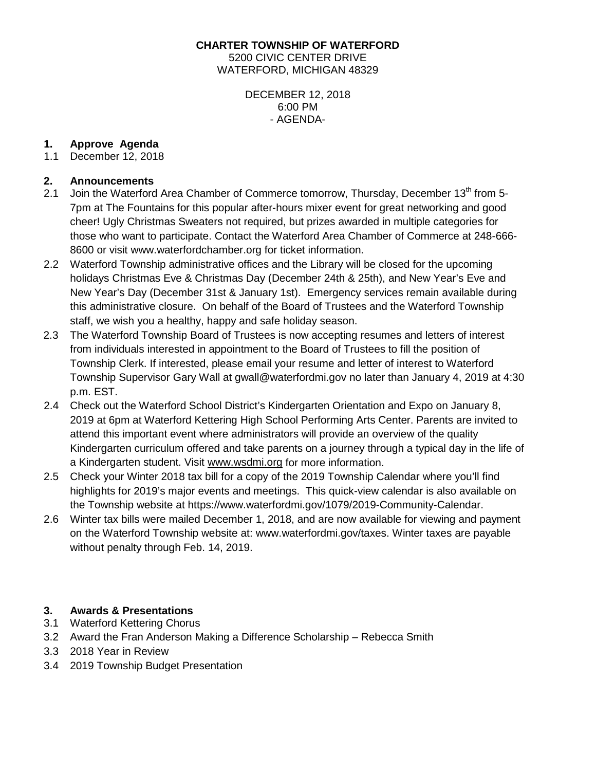**CHARTER TOWNSHIP OF WATERFORD** 5200 CIVIC CENTER DRIVE WATERFORD, MICHIGAN 48329

> DECEMBER 12, 2018 6:00 PM - AGENDA-

# **1. Approve Agenda**

December 12, 2018

#### **2. Announcements**

- 2.1 Join the Waterford Area Chamber of Commerce tomorrow, Thursday, December  $13<sup>th</sup>$  from 5-7pm at The Fountains for this popular after-hours mixer event for great networking and good cheer! Ugly Christmas Sweaters not required, but prizes awarded in multiple categories for those who want to participate. Contact the Waterford Area Chamber of Commerce at 248-666- 8600 or visit [www.waterfordchamber.org](http://www.waterfordchamber.org/) for ticket information.
- 2.2 Waterford Township administrative offices and the Library will be closed for the upcoming holidays Christmas Eve & Christmas Day (December 24th & 25th), and New Year's Eve and New Year's Day (December 31st & January 1st). Emergency services remain available during this administrative closure. On behalf of the Board of Trustees and the Waterford Township staff, we wish you a healthy, happy and safe holiday season.
- 2.3 The Waterford Township Board of Trustees is now accepting resumes and letters of interest from individuals interested in appointment to the Board of Trustees to fill the position of Township Clerk. If interested, please email your resume and letter of interest to Waterford Township Supervisor Gary Wall at [gwall@waterfordmi.gov](mailto:gwall@waterfordmi.gov) no later than January 4, 2019 at 4:30 p.m. EST.
- 2.4 Check out the Waterford School District's Kindergarten Orientation and Expo on January 8, 2019 at 6pm at Waterford Kettering High School Performing Arts Center. Parents are invited to attend this important event where administrators will provide an overview of the quality Kindergarten curriculum offered and take parents on a journey through a typical day in the life of a Kindergarten student. Visit [www.wsdmi.org](http://www.wsdmi.org/) for more information.
- 2.5 Check your Winter 2018 tax bill for a copy of the 2019 Township Calendar where you'll find highlights for 2019's major events and meetings. This quick-view calendar is also available on the Township website at [https://www.waterfordmi.gov/1079/2019-Community-Calendar.](https://www.waterfordmi.gov/1079/2019-Community-Calendar)
- 2.6 Winter tax bills were mailed December 1, 2018, and are now available for viewing and payment on the Waterford Township website at: www.waterfordmi.gov/taxes. Winter taxes are payable without penalty through Feb. 14, 2019.

## **3. Awards & Presentations**

- 3.1 Waterford Kettering Chorus
- 3.2 Award the Fran Anderson Making a Difference Scholarship Rebecca Smith
- 3.3 2018 Year in Review
- 3.4 2019 Township Budget Presentation